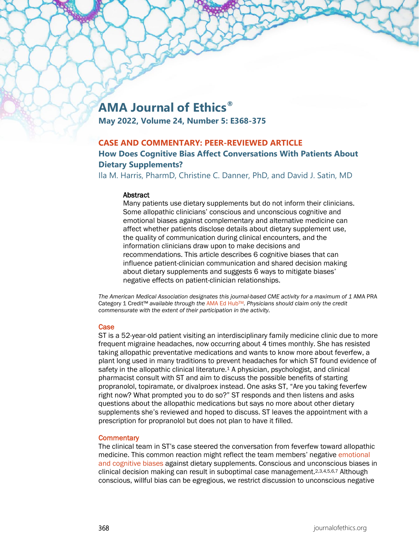# **AMA Journal of Ethics®**

**May 2022, Volume 24, Number 5: E368-375**

## **CASE AND COMMENTARY: PEER-REVIEWED ARTICLE**

## **How Does Cognitive Bias Affect Conversations With Patients About Dietary Supplements?**

Ila M. Harris, PharmD, Christine C. Danner, PhD, and David J. Satin, MD

#### **Abstract**

Many patients use dietary supplements but do not inform their clinicians. Some allopathic clinicians' conscious and unconscious cognitive and emotional biases against complementary and alternative medicine can affect whether patients disclose details about dietary supplement use, the quality of communication during clinical encounters, and the information clinicians draw upon to make decisions and recommendations. This article describes 6 cognitive biases that can influence patient-clinician communication and shared decision making about dietary supplements and suggests 6 ways to mitigate biases' negative effects on patient-clinician relationships.

The American Medical Association designates this journal-based CME activity for a maximum of 1 AMA PRA Category 1 Credit™ *available through the* [AMA Ed HubTM](https://edhub.ama-assn.org/ama-journal-of-ethics/module/2791784)*. Physicians should claim only the credit commensurate with the extent of their participation in the activity.*

#### **Case**

ST is a 52-year-old patient visiting an interdisciplinary family medicine clinic due to more frequent migraine headaches, now occurring about 4 times monthly. She has resisted taking allopathic preventative medications and wants to know more about feverfew, a plant long used in many traditions to prevent headaches for which ST found evidence of safety in the allopathic clinical literature.<sup>1</sup> A physician, psychologist, and clinical pharmacist consult with ST and aim to discuss the possible benefits of starting propranolol, topiramate, or divalproex instead. One asks ST, "Are you taking feverfew right now? What prompted you to do so?" ST responds and then listens and asks questions about the allopathic medications but says no more about other dietary supplements she's reviewed and hoped to discuss. ST leaves the appointment with a prescription for propranolol but does not plan to have it filled.

#### **Commentary**

The clinical team in ST's case steered the conversation from feverfew toward allopathic medicine. This common reaction might reflect the team members' negative emotional [and cognitive biases](https://journalofethics.ama-assn.org/article/believing-overcoming-cognitive-biases/2020-09) against dietary supplements. Conscious and unconscious biases in clinical decision making can result in suboptimal case management.2,3,4,5,6,7 Although conscious, willful bias can be egregious, we restrict discussion to unconscious negative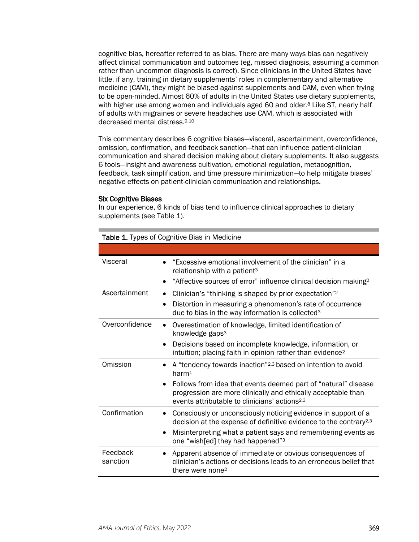cognitive bias, hereafter referred to as bias. There are many ways bias can negatively affect clinical communication and outcomes (eg, missed diagnosis, assuming a common rather than uncommon diagnosis is correct). Since clinicians in the United States have little, if any, training in dietary supplements' roles in complementary and alternative medicine (CAM), they might be biased against supplements and CAM, even when trying to be open-minded. Almost 60% of adults in the United States use dietary supplements, with higher use among women and individuals aged 60 and older.<sup>8</sup> Like ST, nearly half of adults with migraines or severe headaches use CAM, which is associated with decreased mental distress.9,10

This commentary describes 6 cognitive biases—visceral, ascertainment, overconfidence, omission, confirmation, and feedback sanction—that can influence patient-clinician communication and shared decision making about dietary supplements. It also suggests 6 tools—insight and awareness cultivation, emotional regulation, metacognition, feedback, task simplification, and time pressure minimization—to help mitigate biases' negative effects on patient-clinician communication and relationships.

#### Six Cognitive Biases

Table 1. Types of Cognitive Bias in Medicine

In our experience, 6 kinds of bias tend to influence clinical approaches to dietary supplements (see Table 1).

| $\sim$ 1, 1, 200 01 00 Annal 100 Diao 111 Modi |                                                                                                                                                                                                           |  |
|------------------------------------------------|-----------------------------------------------------------------------------------------------------------------------------------------------------------------------------------------------------------|--|
|                                                |                                                                                                                                                                                                           |  |
| Visceral                                       | "Excessive emotional involvement of the clinician" in a<br>relationship with a patient <sup>3</sup>                                                                                                       |  |
|                                                | "Affective sources of error" influence clinical decision making <sup>2</sup>                                                                                                                              |  |
| Ascertainment                                  | Clinician's "thinking is shaped by prior expectation" <sup>2</sup><br>$\bullet$                                                                                                                           |  |
|                                                | Distortion in measuring a phenomenon's rate of occurrence<br>$\bullet$<br>due to bias in the way information is collected <sup>3</sup>                                                                    |  |
| Overconfidence                                 | Overestimation of knowledge, limited identification of<br>$\bullet$<br>knowledge gaps <sup>3</sup>                                                                                                        |  |
|                                                | Decisions based on incomplete knowledge, information, or<br>$\bullet$<br>intuition; placing faith in opinion rather than evidence <sup>2</sup>                                                            |  |
| Omission                                       | A "tendency towards inaction" <sup>2,3</sup> based on intention to avoid<br>harm <sup>1</sup>                                                                                                             |  |
|                                                | Follows from idea that events deemed part of "natural" disease<br>$\bullet$<br>progression are more clinically and ethically acceptable than<br>events attributable to clinicians' actions <sup>2,3</sup> |  |
| Confirmation                                   | Consciously or unconsciously noticing evidence in support of a<br>$\bullet$<br>decision at the expense of definitive evidence to the contrary <sup>2,3</sup>                                              |  |
|                                                | Misinterpreting what a patient says and remembering events as<br>$\bullet$<br>one "wish[ed] they had happened" <sup>3</sup>                                                                               |  |
| Feedback<br>sanction                           | Apparent absence of immediate or obvious consequences of<br>clinician's actions or decisions leads to an erroneous belief that<br>there were none <sup>2</sup>                                            |  |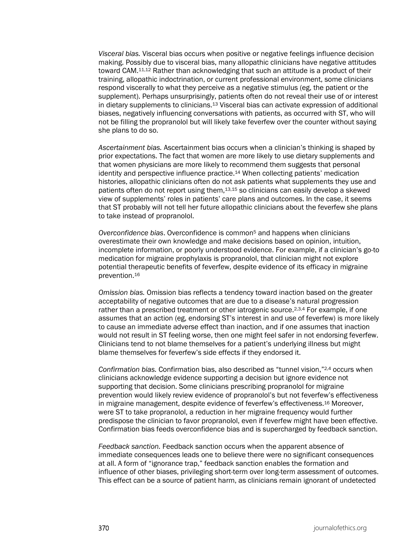*Visceral bias.* Visceral bias occurs when positive or negative feelings influence decision making. Possibly due to visceral bias, many allopathic clinicians have negative attitudes toward CAM.11,12 Rather than acknowledging that such an attitude is a product of their training, allopathic indoctrination, or current professional environment, some clinicians respond viscerally to what they perceive as a negative stimulus (eg, the patient or the supplement). Perhaps unsurprisingly, patients often do not reveal their use of or interest in dietary supplements to clinicians.13 Visceral bias can activate expression of additional biases, negatively influencing conversations with patients, as occurred with ST, who will not be filling the propranolol but will likely take feverfew over the counter without saying she plans to do so.

*Ascertainment bias.* Ascertainment bias occurs when a clinician's thinking is shaped by prior expectations. The fact that women are more likely to use dietary supplements and that women physicians are more likely to recommend them suggests that personal identity and perspective influence practice.14 When collecting patients' medication histories, allopathic clinicians often do not ask patients what supplements they use and patients often do not report using them,13,15 so clinicians can easily develop a skewed view of supplements' roles in patients' care plans and outcomes. In the case, it seems that ST probably will not tell her future allopathic clinicians about the feverfew she plans to take instead of propranolol.

*Overconfidence bias*. Overconfidence is common5 and happens when clinicians overestimate their own knowledge and make decisions based on opinion, intuition, incomplete information, or poorly understood evidence. For example, if a clinician's go-to medication for migraine prophylaxis is propranolol, that clinician might not explore potential therapeutic benefits of feverfew, despite evidence of its efficacy in migraine prevention.16

*Omission bias.* Omission bias reflects a tendency toward inaction based on the greater acceptability of negative outcomes that are due to a disease's natural progression rather than a prescribed treatment or other iatrogenic source.<sup>2,3,4</sup> For example, if one assumes that an action (eg, endorsing ST's interest in and use of feverfew) is more likely to cause an immediate adverse effect than inaction, and if one assumes that inaction would not result in ST feeling worse, then one might feel safer in not endorsing feverfew. Clinicians tend to not blame themselves for a patient's underlying illness but might blame themselves for feverfew's side effects if they endorsed it.

*Confirmation bias.* Confirmation bias, also described as "tunnel vision,"2,4 occurs when clinicians acknowledge evidence supporting a decision but ignore evidence not supporting that decision. Some clinicians prescribing propranolol for migraine prevention would likely review evidence of propranolol's but not feverfew's effectiveness in migraine management, despite evidence of feverfew's effectiveness.16 Moreover, were ST to take propranolol, a reduction in her migraine frequency would further predispose the clinician to favor propranolol, even if feverfew might have been effective. Confirmation bias feeds overconfidence bias and is supercharged by feedback sanction.

*Feedback sanction.* Feedback sanction occurs when the apparent absence of immediate consequences leads one to believe there were no significant consequences at all. A form of "ignorance trap," feedback sanction enables the formation and influence of other biases, privileging short-term over long-term assessment of outcomes. This effect can be a source of patient harm, as clinicians remain ignorant of undetected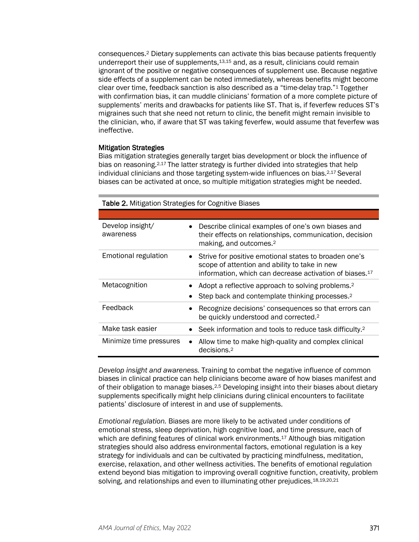consequences.2 Dietary supplements can activate this bias because patients frequently underreport their use of supplements,13,15 and, as a result, clinicians could remain ignorant of the positive or negative consequences of supplement use. Because negative side effects of a supplement can be noted immediately, whereas benefits might become clear over time, feedback sanction is also described as a "time-delay trap."1 Together with confirmation bias, it can muddle clinicians' formation of a more complete picture of supplements' merits and drawbacks for patients like ST. That is, if feverfew reduces ST's migraines such that she need not return to clinic, the benefit might remain invisible to the clinician, who, if aware that ST was taking feverfew, would assume that feverfew was ineffective.

#### Mitigation Strategies

Bias mitigation strategies generally target bias development or block the influence of bias on reasoning.<sup>2,17</sup> The latter strategy is further divided into strategies that help individual clinicians and those targeting system-wide influences on bias.<sup>2,17</sup> Several biases can be activated at once, so multiple mitigation strategies might be needed.

#### Table 2. Mitigation Strategies for Cognitive Biases

| Develop insight/<br>$\bullet$<br>awareness | Describe clinical examples of one's own biases and<br>their effects on relationships, communication, decision<br>making, and outcomes. <sup>2</sup>                           |
|--------------------------------------------|-------------------------------------------------------------------------------------------------------------------------------------------------------------------------------|
| <b>Emotional regulation</b>                | Strive for positive emotional states to broaden one's<br>scope of attention and ability to take in new<br>information, which can decrease activation of biases. <sup>17</sup> |
| Metacognition                              | Adopt a reflective approach to solving problems. <sup>2</sup>                                                                                                                 |
|                                            | Step back and contemplate thinking processes. <sup>2</sup>                                                                                                                    |
| Feedback                                   | Recognize decisions' consequences so that errors can<br>be quickly understood and corrected. <sup>2</sup>                                                                     |
| Make task easier                           | Seek information and tools to reduce task difficulty. <sup>2</sup>                                                                                                            |
| Minimize time pressures<br>$\bullet$       | Allow time to make high-quality and complex clinical<br>decisions. <sup>2</sup>                                                                                               |

*Develop insight and awareness.* Training to combat the negative influence of common biases in clinical practice can help clinicians become aware of how biases manifest and of their obligation to manage biases.<sup>2,5</sup> Developing insight into their biases about dietary supplements specifically might help clinicians during clinical encounters to facilitate patients' disclosure of interest in and use of supplements.

*Emotional regulation.* Biases are more likely to be activated under conditions of emotional stress, sleep deprivation, high cognitive load, and time pressure, each of which are defining features of clinical work environments.<sup>17</sup> Although bias mitigation strategies should also address environmental factors, emotional regulation is a key strategy for individuals and can be cultivated by practicing mindfulness, meditation, exercise, relaxation, and other wellness activities. The benefits of emotional regulation extend beyond bias mitigation to improving overall cognitive function, creativity, problem solving, and relationships and even to illuminating other prejudices.<sup>18,19,20,21</sup>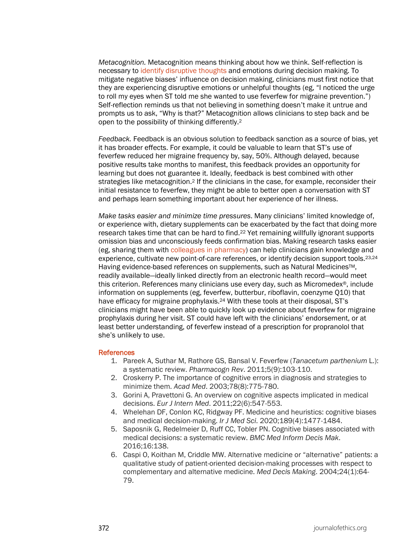*Metacognition.* Metacognition means thinking about how we think. Self-reflection is necessary to [identify disruptive thoughts](https://journalofethics.ama-assn.org/article/fostering-emotional-intelligence-medical-training-select-program/2013-06) and emotions during decision making. To mitigate negative biases' influence on decision making, clinicians must first notice that they are experiencing disruptive emotions or unhelpful thoughts (eg, "I noticed the urge to roll my eyes when ST told me she wanted to use feverfew for migraine prevention.") Self-reflection reminds us that not believing in something doesn't make it untrue and prompts us to ask, "Why is that?" Metacognition allows clinicians to step back and be open to the possibility of thinking differently.2

*Feedback.* Feedback is an obvious solution to feedback sanction as a source of bias, yet it has broader effects. For example, it could be valuable to learn that ST's use of feverfew reduced her migraine frequency by, say, 50%. Although delayed, because positive results take months to manifest, this feedback provides an opportunity for learning but does not guarantee it. Ideally, feedback is best combined with other strategies like metacognition.<sup>2</sup> If the clinicians in the case, for example, reconsider their initial resistance to feverfew, they might be able to better open a conversation with ST and perhaps learn something important about her experience of her illness.

*Make tasks easier and minimize time pressures*. Many clinicians' limited knowledge of, or experience with, dietary supplements can be exacerbated by the fact that doing more research takes time that can be hard to find.22 Yet remaining willfully ignorant supports omission bias and unconsciously feeds confirmation bias. Making research tasks easier (eg, sharing them with [colleagues in pharmacy\)](https://journalofethics.ama-assn.org/article/what-does-good-pharmacist-physician-pain-management-collaboration-look/2020-08) can help clinicians gain knowledge and experience, cultivate new point-of-care references, or identify decision support tools.<sup>23,24</sup> Having evidence-based references on supplements, such as Natural Medicines™, readily available—ideally linked directly from an electronic health record—would meet this criterion. References many clinicians use every day, such as Micromedex®, include information on supplements (eg, feverfew, butterbur, riboflavin, coenzyme Q10) that have efficacy for migraine prophylaxis.<sup>24</sup> With these tools at their disposal, ST's clinicians might have been able to quickly look up evidence about feverfew for migraine prophylaxis during her visit. ST could have left with the clinicians' endorsement, or at least better understanding, of feverfew instead of a prescription for propranolol that she's unlikely to use.

#### References

- 1. Pareek A, Suthar M, Rathore GS, Bansal V. Feverfew (*Tanacetum parthenium* L.): a systematic review. *Pharmacogn Rev*. 2011;5(9):103-110.
- 2. Croskerry P. The importance of cognitive errors in diagnosis and strategies to minimize them. *Acad Med*. 2003;78(8):775-780.
- 3. Gorini A, Pravettoni G. An overview on cognitive aspects implicated in medical decisions. *Eur J Intern Med*. 2011;22(6):547-553.
- 4. Whelehan DF, Conlon KC, Ridgway PF. Medicine and heuristics: cognitive biases and medical decision-making. *Ir J Med Sci*. 2020;189(4):1477-1484.
- 5. Saposnik G, Redelmeier D, Ruff CC, Tobler PN. Cognitive biases associated with medical decisions: a systematic review. *BMC Med Inform Decis Mak*. 2016;16:138.
- 6. Caspi O, Koithan M, Criddle MW. Alternative medicine or "alternative" patients: a qualitative study of patient-oriented decision-making processes with respect to complementary and alternative medicine. *Med Decis Making*. 2004;24(1):64- 79.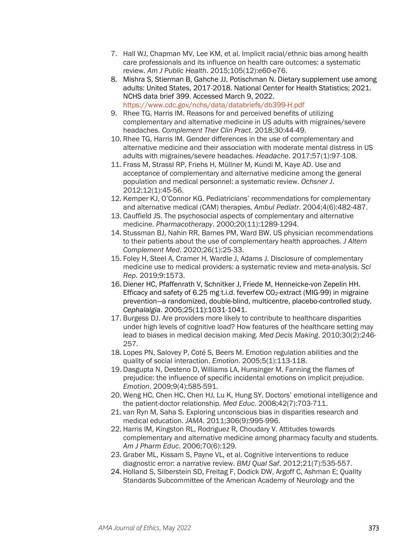- 7. Hall WJ, Chapman MV, Lee KM, et al. Implicit racial/ethnic bias among health care professionals and its influence on health care outcomes: a systematic review. *Am J Public Health*. 2015;105(12):e60-e76.
- 8. Mishra S, Stierman B, Gahche JJ, Potischman N. Dietary supplement use among adults: United States, 2017-2018. National Center for Health Statistics; 2021. NCHS data brief 399. Accessed March 9, 2022. <https://www.cdc.gov/nchs/data/databriefs/db399-H.pdf>
- 9. Rhee TG, Harris IM. Reasons for and perceived benefits of utilizing complementary and alternative medicine in US adults with migraines/severe headaches. *Complement Ther Clin Pract*. 2018;30:44-49.
- 10. Rhee TG, Harris IM. Gender differences in the use of complementary and alternative medicine and their association with moderate mental distress in US adults with migraines/severe headaches. *Headache*. 2017;57(1):97-108.
- 11. Frass M, Strassl RP, Friehs H, Müllner M, Kundi M, Kaye AD. Use and acceptance of complementary and alternative medicine among the general population and medical personnel: a systematic review. *Ochsner J*. 2012;12(1):45-56.
- 12. Kemper KJ, O'Connor KG. Pediatricians' recommendations for complementary and alternative medical (CAM) therapies. *Ambul Pediatr*. 2004;4(6):482-487.
- 13. Cauffield JS. The psychosocial aspects of complementary and alternative medicine. *Pharmacotherapy*. 2000;20(11):1289-1294.
- 14. Stussman BJ, Nahin RR, Barnes PM, Ward BW. US physician recommendations to their patients about the use of complementary health approaches. *J Altern Complement Med*. 2020;26(1):25-33.
- 15. Foley H, Steel A, Cramer H, Wardle J, Adams J. Disclosure of complementary medicine use to medical providers: a systematic review and meta-analysis. *Sci Rep*. 2019;9:1573.
- 16. Diener HC, Pfaffenrath V, Schnitker J, Friede M, Henneicke-von Zepelin HH. Efficacy and safety of 6.25 mg t.i.d. feverfew  $CO<sub>2</sub>$ -extract (MIG-99) in migraine prevention—a randomized, double-blind, multicentre, placebo-controlled study. *Cephalalgia*. 2005;25(11):1031-1041.
- 17. Burgess DJ. Are providers more likely to contribute to healthcare disparities under high levels of cognitive load? How features of the healthcare setting may lead to biases in medical decision making. *Med Decis Making*. 2010;30(2):246- 257.
- 18. Lopes PN, Salovey P, Coté S, Beers M. Emotion regulation abilities and the quality of social interaction. *Emotion*. 2005;5(1):113-118.
- 19. Dasgupta N, Desteno D, Williams LA, Hunsinger M. Fanning the flames of prejudice: the influence of specific incidental emotions on implicit prejudice. *Emotion*. 2009;9(4):585-591.
- 20. Weng HC, Chen HC, Chen HJ, Lu K, Hung SY. Doctors' emotional intelligence and the patient-doctor relationship. *Med Educ*. 2008;42(7):703-711.
- 21. van Ryn M, Saha S. Exploring unconscious bias in disparities research and medical education. *JAMA*. 2011;306(9):995-996.
- 22. Harris IM, Kingston RL, Rodriguez R, Choudary V. Attitudes towards complementary and alternative medicine among pharmacy faculty and students. *Am J Pharm Educ*. 2006;70(6):129.
- 23. Graber ML, Kissam S, Payne VL, et al. Cognitive interventions to reduce diagnostic error: a narrative review. *BMJ Qual Saf*. 2012;21(7):535-557.
- 24. Holland S, Silberstein SD, Freitag F, Dodick DW, Argoff C, Ashman E; Quality Standards Subcommittee of the American Academy of Neurology and the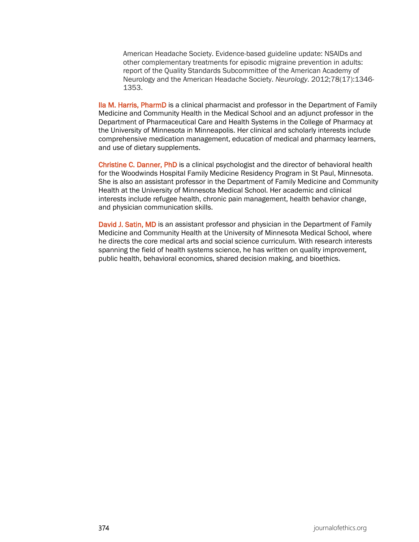American Headache Society. Evidence-based guideline update: NSAIDs and other complementary treatments for episodic migraine prevention in adults: report of the Quality Standards Subcommittee of the American Academy of Neurology and the American Headache Society. *Neurology*. 2012;78(17):1346- 1353.

Ila M. Harris, PharmD is a clinical pharmacist and professor in the Department of Family Medicine and Community Health in the Medical School and an adjunct professor in the Department of Pharmaceutical Care and Health Systems in the College of Pharmacy at the University of Minnesota in Minneapolis. Her clinical and scholarly interests include comprehensive medication management, education of medical and pharmacy learners, and use of dietary supplements.

Christine C. Danner, PhD is a clinical psychologist and the director of behavioral health for the Woodwinds Hospital Family Medicine Residency Program in St Paul, Minnesota. She is also an assistant professor in the Department of Family Medicine and Community Health at the University of Minnesota Medical School. Her academic and clinical interests include refugee health, chronic pain management, health behavior change, and physician communication skills.

David J. Satin, MD is an assistant professor and physician in the Department of Family Medicine and Community Health at the University of Minnesota Medical School, where he directs the core medical arts and social science curriculum. With research interests spanning the field of health systems science, he has written on quality improvement, public health, behavioral economics, shared decision making, and bioethics.